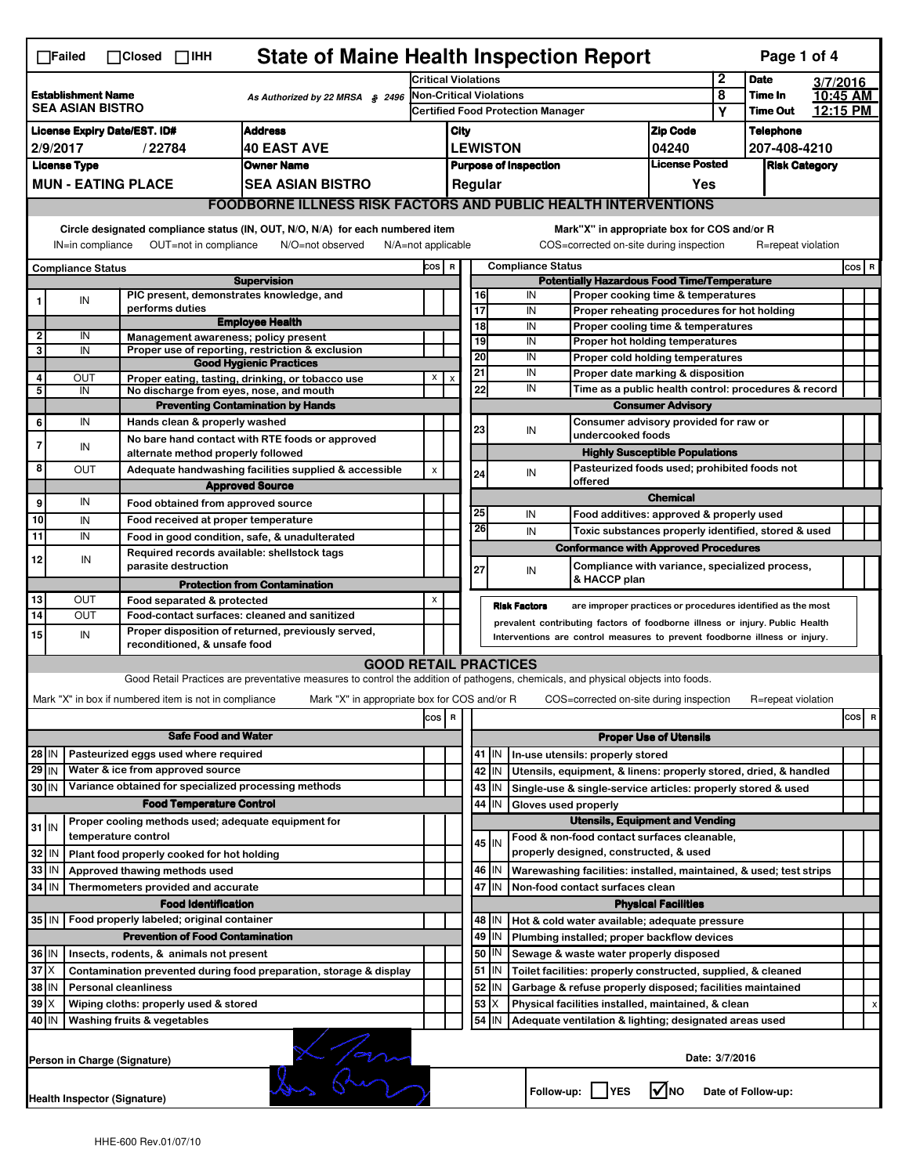| <b>State of Maine Health Inspection Report</b><br>Page 1 of 4<br>$\Box$ Failed<br>$\Box$ Closed $\Box$ IHH<br>$\mathbf 2$                                                                                                                                                                 |                                                                                               |  |                                                                     |                                                                                                                                   |                                                             |                                                       |                 |                                          |                                                                              |                                                                       |                      |                            |          |       |   |
|-------------------------------------------------------------------------------------------------------------------------------------------------------------------------------------------------------------------------------------------------------------------------------------------|-----------------------------------------------------------------------------------------------|--|---------------------------------------------------------------------|-----------------------------------------------------------------------------------------------------------------------------------|-------------------------------------------------------------|-------------------------------------------------------|-----------------|------------------------------------------|------------------------------------------------------------------------------|-----------------------------------------------------------------------|----------------------|----------------------------|----------|-------|---|
|                                                                                                                                                                                                                                                                                           |                                                                                               |  |                                                                     |                                                                                                                                   |                                                             | <b>Critical Violations</b>                            |                 |                                          |                                                                              |                                                                       |                      | <b>Date</b>                | 3/7/2016 |       |   |
| <b>Establishment Name</b><br>As Authorized by 22 MRSA § 2496<br><b>SEA ASIAN BISTRO</b>                                                                                                                                                                                                   |                                                                                               |  |                                                                     |                                                                                                                                   | Non-Critical Violations                                     |                                                       |                 |                                          |                                                                              |                                                                       | 8<br>Υ               | Time In<br><b>Time Out</b> | 10:45 AM |       |   |
|                                                                                                                                                                                                                                                                                           |                                                                                               |  |                                                                     |                                                                                                                                   |                                                             |                                                       |                 | <b>Certified Food Protection Manager</b> |                                                                              |                                                                       |                      |                            | 12:15 PM |       |   |
| <b>Address</b><br><b>License Expiry Date/EST. ID#</b>                                                                                                                                                                                                                                     |                                                                                               |  |                                                                     |                                                                                                                                   |                                                             | City                                                  |                 |                                          |                                                                              | <b>Zip Code</b>                                                       |                      | <b>Telephone</b>           |          |       |   |
| 2/9/2017<br><b>40 EAST AVE</b><br>/22784                                                                                                                                                                                                                                                  |                                                                                               |  |                                                                     |                                                                                                                                   |                                                             | <b>LEWISTON</b><br>04240                              |                 |                                          |                                                                              |                                                                       |                      | 207-408-4210               |          |       |   |
| <b>Owner Name</b><br><b>License Type</b>                                                                                                                                                                                                                                                  |                                                                                               |  |                                                                     |                                                                                                                                   |                                                             | <b>License Posted</b><br><b>Purpose of Inspection</b> |                 |                                          |                                                                              |                                                                       | <b>Risk Category</b> |                            |          |       |   |
| <b>MUN - EATING PLACE</b><br><b>SEA ASIAN BISTRO</b>                                                                                                                                                                                                                                      |                                                                                               |  |                                                                     |                                                                                                                                   |                                                             |                                                       |                 | Regular                                  |                                                                              | Yes                                                                   |                      |                            |          |       |   |
| <b>FOODBORNE ILLNESS RISK FACTORS AND PUBLIC HEALTH INTERVENTIONS</b>                                                                                                                                                                                                                     |                                                                                               |  |                                                                     |                                                                                                                                   |                                                             |                                                       |                 |                                          |                                                                              |                                                                       |                      |                            |          |       |   |
| Circle designated compliance status (IN, OUT, N/O, N/A) for each numbered item<br>Mark"X" in appropriate box for COS and/or R<br>IN=in compliance<br>OUT=not in compliance<br>N/O=not observed<br>COS=corrected on-site during inspection<br>R=repeat violation<br>$N/A = not$ applicable |                                                                                               |  |                                                                     |                                                                                                                                   |                                                             |                                                       |                 |                                          |                                                                              |                                                                       |                      |                            |          |       |   |
| <b>Compliance Status</b>                                                                                                                                                                                                                                                                  |                                                                                               |  |                                                                     |                                                                                                                                   |                                                             |                                                       |                 |                                          | <b>Compliance Status</b>                                                     |                                                                       |                      |                            |          | COS R |   |
|                                                                                                                                                                                                                                                                                           |                                                                                               |  |                                                                     | <b>Supervision</b>                                                                                                                | COS R<br><b>Potentially Hazardous Food Time/Temperature</b> |                                                       |                 |                                          |                                                                              |                                                                       |                      |                            |          |       |   |
|                                                                                                                                                                                                                                                                                           | IN                                                                                            |  | PIC present, demonstrates knowledge, and                            |                                                                                                                                   |                                                             |                                                       | 16              |                                          | IN                                                                           | Proper cooking time & temperatures                                    |                      |                            |          |       |   |
|                                                                                                                                                                                                                                                                                           |                                                                                               |  | performs duties                                                     |                                                                                                                                   |                                                             |                                                       | $\overline{17}$ |                                          | IN                                                                           | Proper reheating procedures for hot holding                           |                      |                            |          |       |   |
| $\mathbf{2}$                                                                                                                                                                                                                                                                              | IN                                                                                            |  | Management awareness; policy present                                | <b>Employee Health</b>                                                                                                            |                                                             |                                                       | 18              |                                          | IN                                                                           | Proper cooling time & temperatures                                    |                      |                            |          |       |   |
| 3                                                                                                                                                                                                                                                                                         | IN                                                                                            |  |                                                                     | Proper use of reporting, restriction & exclusion                                                                                  |                                                             |                                                       | 19              |                                          | IN                                                                           | Proper hot holding temperatures                                       |                      |                            |          |       |   |
|                                                                                                                                                                                                                                                                                           |                                                                                               |  |                                                                     | <b>Good Hygienic Practices</b>                                                                                                    |                                                             |                                                       | 20              |                                          | IN                                                                           | Proper cold holding temperatures<br>Proper date marking & disposition |                      |                            |          |       |   |
| $\overline{4}$                                                                                                                                                                                                                                                                            | OUT                                                                                           |  |                                                                     | Proper eating, tasting, drinking, or tobacco use                                                                                  | X                                                           | x                                                     | 21              |                                          | IN<br>IN                                                                     |                                                                       |                      |                            |          |       |   |
| 5                                                                                                                                                                                                                                                                                         | IN                                                                                            |  | No discharge from eyes, nose, and mouth                             |                                                                                                                                   |                                                             |                                                       | 22              |                                          |                                                                              | Time as a public health control: procedures & record                  |                      |                            |          |       |   |
|                                                                                                                                                                                                                                                                                           |                                                                                               |  |                                                                     | <b>Preventing Contamination by Hands</b>                                                                                          |                                                             |                                                       |                 |                                          |                                                                              | <b>Consumer Advisory</b>                                              |                      |                            |          |       |   |
| 6                                                                                                                                                                                                                                                                                         | IN                                                                                            |  | Hands clean & properly washed                                       |                                                                                                                                   |                                                             |                                                       | 23              |                                          | Consumer advisory provided for raw or<br>IN<br>undercooked foods             |                                                                       |                      |                            |          |       |   |
| 7                                                                                                                                                                                                                                                                                         | IN                                                                                            |  |                                                                     | No bare hand contact with RTE foods or approved                                                                                   |                                                             |                                                       |                 |                                          |                                                                              | <b>Highly Susceptible Populations</b>                                 |                      |                            |          |       |   |
| 8                                                                                                                                                                                                                                                                                         |                                                                                               |  | alternate method properly followed                                  |                                                                                                                                   |                                                             |                                                       |                 |                                          |                                                                              | Pasteurized foods used; prohibited foods not                          |                      |                            |          |       |   |
|                                                                                                                                                                                                                                                                                           | OUT                                                                                           |  |                                                                     | Adequate handwashing facilities supplied & accessible                                                                             | X                                                           |                                                       | 24              |                                          | IN<br>offered                                                                |                                                                       |                      |                            |          |       |   |
|                                                                                                                                                                                                                                                                                           | IN                                                                                            |  |                                                                     | <b>Approved Source</b>                                                                                                            |                                                             |                                                       |                 |                                          |                                                                              | <b>Chemical</b>                                                       |                      |                            |          |       |   |
| 9                                                                                                                                                                                                                                                                                         |                                                                                               |  | Food obtained from approved source                                  |                                                                                                                                   |                                                             |                                                       | 25              |                                          | IN                                                                           | Food additives: approved & properly used                              |                      |                            |          |       |   |
| 10                                                                                                                                                                                                                                                                                        | IN                                                                                            |  | Food received at proper temperature                                 |                                                                                                                                   |                                                             |                                                       | 26              |                                          | IN                                                                           | Toxic substances properly identified, stored & used                   |                      |                            |          |       |   |
| 11                                                                                                                                                                                                                                                                                        | IN                                                                                            |  |                                                                     | Food in good condition, safe, & unadulterated                                                                                     |                                                             |                                                       |                 |                                          | <b>Conformance with Approved Procedures</b>                                  |                                                                       |                      |                            |          |       |   |
| 12                                                                                                                                                                                                                                                                                        | IN                                                                                            |  | Required records available: shellstock tags<br>parasite destruction |                                                                                                                                   |                                                             |                                                       | 27              |                                          | IN                                                                           | Compliance with variance, specialized process,                        |                      |                            |          |       |   |
|                                                                                                                                                                                                                                                                                           |                                                                                               |  |                                                                     | <b>Protection from Contamination</b>                                                                                              |                                                             |                                                       |                 |                                          | & HACCP plan                                                                 |                                                                       |                      |                            |          |       |   |
| 13                                                                                                                                                                                                                                                                                        | OUT                                                                                           |  | Food separated & protected                                          |                                                                                                                                   | X                                                           |                                                       |                 |                                          | <b>Risk Factors</b>                                                          | are improper practices or procedures identified as the most           |                      |                            |          |       |   |
| 14                                                                                                                                                                                                                                                                                        | OUT                                                                                           |  | Food-contact surfaces: cleaned and sanitized                        |                                                                                                                                   |                                                             |                                                       |                 |                                          | prevalent contributing factors of foodborne illness or injury. Public Health |                                                                       |                      |                            |          |       |   |
| 15                                                                                                                                                                                                                                                                                        | IN                                                                                            |  | reconditioned, & unsafe food                                        | Proper disposition of returned, previously served,                                                                                |                                                             |                                                       |                 |                                          | Interventions are control measures to prevent foodborne illness or injury.   |                                                                       |                      |                            |          |       |   |
|                                                                                                                                                                                                                                                                                           |                                                                                               |  |                                                                     | <b>GOOD RETAIL PRACTICES</b>                                                                                                      |                                                             |                                                       |                 |                                          |                                                                              |                                                                       |                      |                            |          |       |   |
|                                                                                                                                                                                                                                                                                           |                                                                                               |  |                                                                     | Good Retail Practices are preventative measures to control the addition of pathogens, chemicals, and physical objects into foods. |                                                             |                                                       |                 |                                          |                                                                              |                                                                       |                      |                            |          |       |   |
|                                                                                                                                                                                                                                                                                           |                                                                                               |  |                                                                     |                                                                                                                                   |                                                             |                                                       |                 |                                          |                                                                              |                                                                       |                      |                            |          |       |   |
|                                                                                                                                                                                                                                                                                           |                                                                                               |  | Mark "X" in box if numbered item is not in compliance               | Mark "X" in appropriate box for COS and/or R                                                                                      |                                                             |                                                       |                 |                                          | COS=corrected on-site during inspection                                      |                                                                       |                      | R=repeat violation         |          |       |   |
|                                                                                                                                                                                                                                                                                           |                                                                                               |  |                                                                     |                                                                                                                                   | cos R                                                       |                                                       |                 |                                          |                                                                              |                                                                       |                      |                            |          | cos   | R |
| <b>Safe Food and Water</b>                                                                                                                                                                                                                                                                |                                                                                               |  |                                                                     |                                                                                                                                   |                                                             | <b>Proper Use of Utensils</b>                         |                 |                                          |                                                                              |                                                                       |                      |                            |          |       |   |
| Pasteurized eggs used where required<br>28 IN                                                                                                                                                                                                                                             |                                                                                               |  |                                                                     |                                                                                                                                   |                                                             |                                                       |                 | 41   IN                                  | In-use utensils: properly stored                                             |                                                                       |                      |                            |          |       |   |
| $29$ IN                                                                                                                                                                                                                                                                                   |                                                                                               |  | Water & ice from approved source                                    |                                                                                                                                   |                                                             |                                                       |                 | 42 IN                                    | Utensils, equipment, & linens: properly stored, dried, & handled             |                                                                       |                      |                            |          |       |   |
| 30 IN                                                                                                                                                                                                                                                                                     |                                                                                               |  | Variance obtained for specialized processing methods                |                                                                                                                                   |                                                             |                                                       |                 | 43   IN                                  | Single-use & single-service articles: properly stored & used                 |                                                                       |                      |                            |          |       |   |
| <b>Food Temperature Control</b>                                                                                                                                                                                                                                                           |                                                                                               |  |                                                                     |                                                                                                                                   |                                                             |                                                       | 44              | IN                                       | Gloves used properly                                                         |                                                                       |                      |                            |          |       |   |
| $31$ IN                                                                                                                                                                                                                                                                                   |                                                                                               |  | Proper cooling methods used; adequate equipment for                 |                                                                                                                                   |                                                             |                                                       |                 |                                          |                                                                              | <b>Utensils, Equipment and Vending</b>                                |                      |                            |          |       |   |
|                                                                                                                                                                                                                                                                                           |                                                                                               |  | temperature control                                                 |                                                                                                                                   |                                                             |                                                       |                 | 45   IN                                  | Food & non-food contact surfaces cleanable,                                  |                                                                       |                      |                            |          |       |   |
| 32                                                                                                                                                                                                                                                                                        | ۱N                                                                                            |  | Plant food properly cooked for hot holding                          |                                                                                                                                   |                                                             |                                                       |                 |                                          | properly designed, constructed, & used                                       |                                                                       |                      |                            |          |       |   |
| 33                                                                                                                                                                                                                                                                                        | IN                                                                                            |  | Approved thawing methods used                                       |                                                                                                                                   |                                                             |                                                       |                 | 46 IN                                    | Warewashing facilities: installed, maintained, & used; test strips           |                                                                       |                      |                            |          |       |   |
| 34 IN                                                                                                                                                                                                                                                                                     |                                                                                               |  | Thermometers provided and accurate                                  |                                                                                                                                   |                                                             |                                                       |                 | 47 IN                                    | Non-food contact surfaces clean                                              |                                                                       |                      |                            |          |       |   |
|                                                                                                                                                                                                                                                                                           |                                                                                               |  | <b>Food Identification</b>                                          |                                                                                                                                   |                                                             |                                                       |                 |                                          |                                                                              | <b>Physical Facilities</b>                                            |                      |                            |          |       |   |
| Food properly labeled; original container<br>35 IN<br>48   IN<br>Hot & cold water available; adequate pressure                                                                                                                                                                            |                                                                                               |  |                                                                     |                                                                                                                                   |                                                             |                                                       |                 |                                          |                                                                              |                                                                       |                      |                            |          |       |   |
|                                                                                                                                                                                                                                                                                           |                                                                                               |  | <b>Prevention of Food Contamination</b>                             |                                                                                                                                   |                                                             |                                                       | 49              | IN                                       | Plumbing installed; proper backflow devices                                  |                                                                       |                      |                            |          |       |   |
| 36 IN                                                                                                                                                                                                                                                                                     |                                                                                               |  | Insects, rodents, & animals not present                             |                                                                                                                                   |                                                             |                                                       |                 | 50   IN                                  | Sewage & waste water properly disposed                                       |                                                                       |                      |                            |          |       |   |
| $37$ $\times$                                                                                                                                                                                                                                                                             |                                                                                               |  |                                                                     | Contamination prevented during food preparation, storage & display                                                                |                                                             |                                                       |                 | $51$ $\vert$ IN                          | Toilet facilities: properly constructed, supplied, & cleaned                 |                                                                       |                      |                            |          |       |   |
| 38 IN                                                                                                                                                                                                                                                                                     |                                                                                               |  | <b>Personal cleanliness</b>                                         |                                                                                                                                   |                                                             |                                                       |                 | 52 IN                                    | Garbage & refuse properly disposed; facilities maintained                    |                                                                       |                      |                            |          |       |   |
| 39                                                                                                                                                                                                                                                                                        |                                                                                               |  | Wiping cloths: properly used & stored                               |                                                                                                                                   |                                                             |                                                       | 53              | X                                        | Physical facilities installed, maintained, & clean                           |                                                                       |                      |                            |          |       |   |
| 40 IN                                                                                                                                                                                                                                                                                     |                                                                                               |  | Washing fruits & vegetables                                         |                                                                                                                                   |                                                             |                                                       |                 | 54 IN                                    | Adequate ventilation & lighting; designated areas used                       |                                                                       |                      |                            |          |       |   |
|                                                                                                                                                                                                                                                                                           |                                                                                               |  |                                                                     |                                                                                                                                   |                                                             |                                                       |                 |                                          |                                                                              |                                                                       |                      |                            |          |       |   |
|                                                                                                                                                                                                                                                                                           |                                                                                               |  | Person in Charge (Signature)                                        |                                                                                                                                   |                                                             |                                                       |                 |                                          |                                                                              | Date: 3/7/2016                                                        |                      |                            |          |       |   |
|                                                                                                                                                                                                                                                                                           | (Lam<br>$\sqrt{ }$ NO<br>Follow-up: YES<br>Date of Follow-up:<br>Health Inspector (Signature) |  |                                                                     |                                                                                                                                   |                                                             |                                                       |                 |                                          |                                                                              |                                                                       |                      |                            |          |       |   |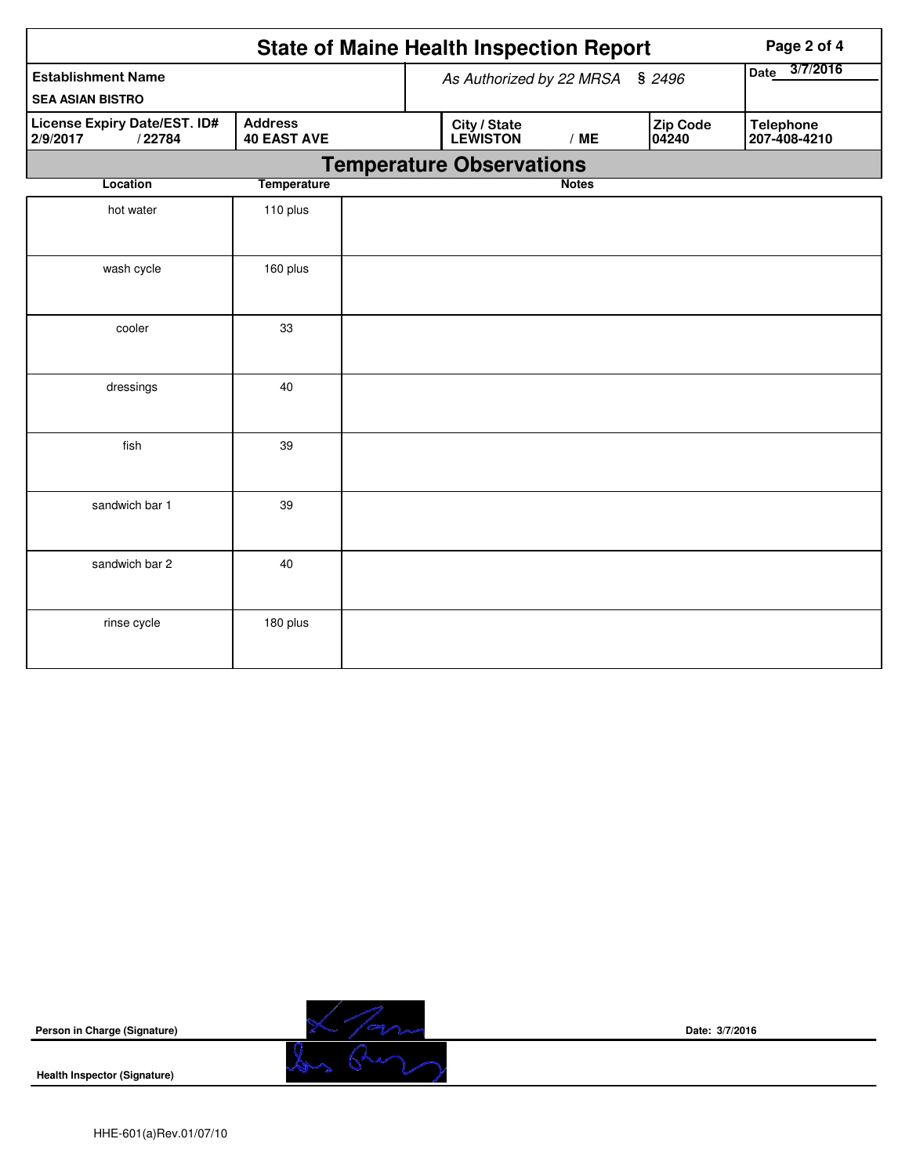|                                                           | <b>State of Maine Health Inspection Report</b> |                                 |                   | Page 2 of 4                      |  |
|-----------------------------------------------------------|------------------------------------------------|---------------------------------|-------------------|----------------------------------|--|
| <b>Establishment Name</b><br><b>SEA ASIAN BISTRO</b>      |                                                | As Authorized by 22 MRSA § 2496 | 3/7/2016<br>Date  |                                  |  |
| <b>License Expiry Date/EST. ID#</b><br>2/9/2017<br>/22784 | City / State<br><b>LEWISTON</b>                | /ME                             | Zip Code<br>04240 | <b>Telephone</b><br>207-408-4210 |  |
|                                                           |                                                | <b>Temperature Observations</b> |                   |                                  |  |
| Location                                                  | <b>Temperature</b>                             |                                 | <b>Notes</b>      |                                  |  |
| hot water                                                 | 110 plus                                       |                                 |                   |                                  |  |
| wash cycle                                                | 160 plus                                       |                                 |                   |                                  |  |
| cooler                                                    | 33                                             |                                 |                   |                                  |  |
| dressings                                                 | 40                                             |                                 |                   |                                  |  |
| fish                                                      | 39                                             |                                 |                   |                                  |  |
| sandwich bar 1                                            | 39                                             |                                 |                   |                                  |  |
| sandwich bar 2                                            | 40                                             |                                 |                   |                                  |  |
| rinse cycle                                               | 180 plus                                       |                                 |                   |                                  |  |

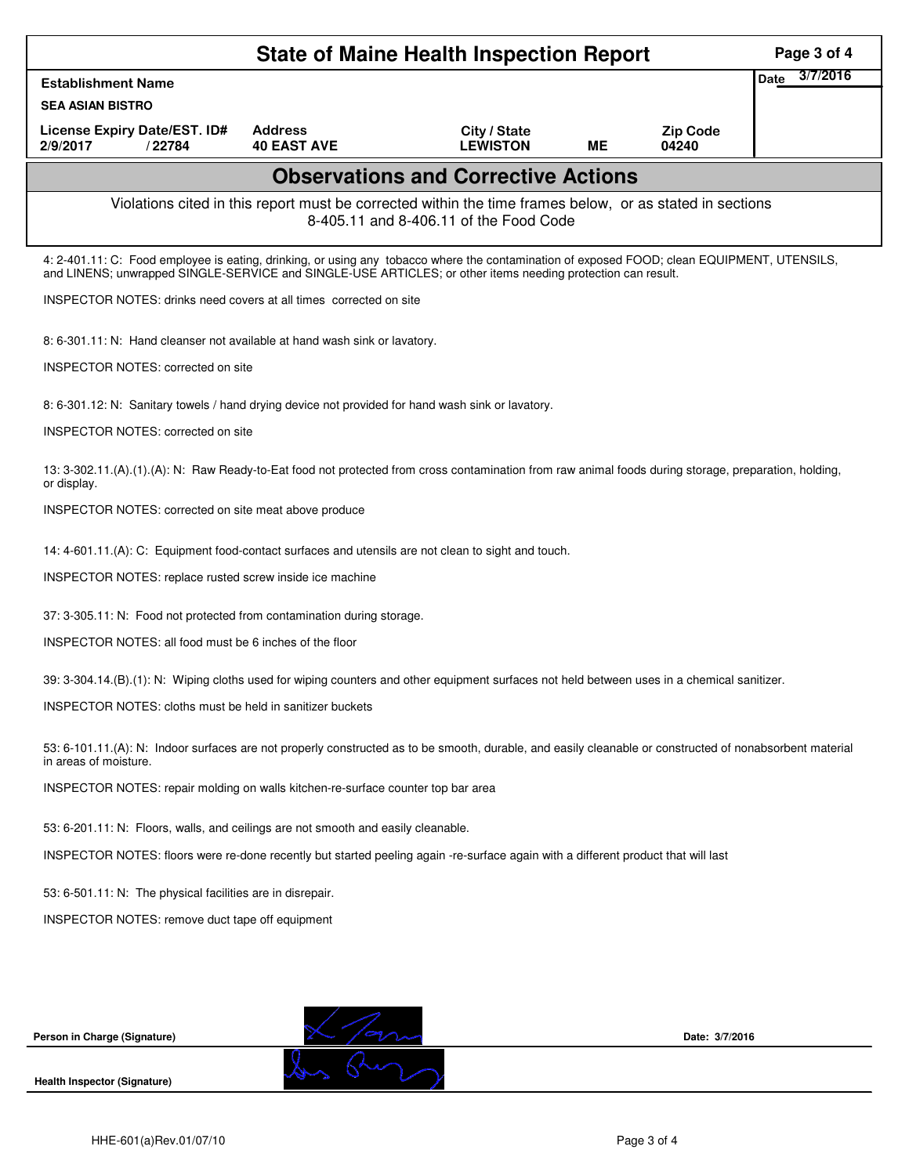|                                                                                                                                                                                                                                                            |                                      | <b>State of Maine Health Inspection Report</b>                                                                                                     |           |                          | Page 3 of 4             |
|------------------------------------------------------------------------------------------------------------------------------------------------------------------------------------------------------------------------------------------------------------|--------------------------------------|----------------------------------------------------------------------------------------------------------------------------------------------------|-----------|--------------------------|-------------------------|
| <b>Establishment Name</b>                                                                                                                                                                                                                                  |                                      |                                                                                                                                                    |           |                          | 3/7/2016<br><b>Date</b> |
| <b>SEA ASIAN BISTRO</b>                                                                                                                                                                                                                                    |                                      |                                                                                                                                                    |           |                          |                         |
| License Expiry Date/EST. ID#<br>2/9/2017<br>/22784                                                                                                                                                                                                         | <b>Address</b><br><b>40 EAST AVE</b> | City / State<br><b>LEWISTON</b>                                                                                                                    | <b>ME</b> | <b>Zip Code</b><br>04240 |                         |
|                                                                                                                                                                                                                                                            |                                      | <b>Observations and Corrective Actions</b>                                                                                                         |           |                          |                         |
|                                                                                                                                                                                                                                                            |                                      | Violations cited in this report must be corrected within the time frames below, or as stated in sections<br>8-405.11 and 8-406.11 of the Food Code |           |                          |                         |
| 4: 2-401.11: C: Food employee is eating, drinking, or using any tobacco where the contamination of exposed FOOD; clean EQUIPMENT, UTENSILS,<br>and LINENS; unwrapped SINGLE-SERVICE and SINGLE-USE ARTICLES; or other items needing protection can result. |                                      |                                                                                                                                                    |           |                          |                         |
| <b>INSPECTOR NOTES: drinks need covers at all times corrected on site</b>                                                                                                                                                                                  |                                      |                                                                                                                                                    |           |                          |                         |
| 8: 6-301.11: N: Hand cleanser not available at hand wash sink or lavatory.                                                                                                                                                                                 |                                      |                                                                                                                                                    |           |                          |                         |
| <b>INSPECTOR NOTES: corrected on site</b>                                                                                                                                                                                                                  |                                      |                                                                                                                                                    |           |                          |                         |
| 8: 6-301.12: N: Sanitary towels / hand drying device not provided for hand wash sink or lavatory.                                                                                                                                                          |                                      |                                                                                                                                                    |           |                          |                         |
| <b>INSPECTOR NOTES: corrected on site</b>                                                                                                                                                                                                                  |                                      |                                                                                                                                                    |           |                          |                         |
| 13: 3-302.11.(A).(1).(A): N: Raw Ready-to-Eat food not protected from cross contamination from raw animal foods during storage, preparation, holding,<br>or display.                                                                                       |                                      |                                                                                                                                                    |           |                          |                         |
| INSPECTOR NOTES: corrected on site meat above produce                                                                                                                                                                                                      |                                      |                                                                                                                                                    |           |                          |                         |
| 14: 4-601.11.(A): C: Equipment food-contact surfaces and utensils are not clean to sight and touch.                                                                                                                                                        |                                      |                                                                                                                                                    |           |                          |                         |
| INSPECTOR NOTES: replace rusted screw inside ice machine                                                                                                                                                                                                   |                                      |                                                                                                                                                    |           |                          |                         |
| 37: 3-305.11: N: Food not protected from contamination during storage.                                                                                                                                                                                     |                                      |                                                                                                                                                    |           |                          |                         |
| INSPECTOR NOTES: all food must be 6 inches of the floor                                                                                                                                                                                                    |                                      |                                                                                                                                                    |           |                          |                         |
| 39: 3-304.14.(B).(1): N: Wiping cloths used for wiping counters and other equipment surfaces not held between uses in a chemical sanitizer.                                                                                                                |                                      |                                                                                                                                                    |           |                          |                         |
| <b>INSPECTOR NOTES: cloths must be held in sanitizer buckets</b>                                                                                                                                                                                           |                                      |                                                                                                                                                    |           |                          |                         |
| 53: 6-101.11.(A): N: Indoor surfaces are not properly constructed as to be smooth, durable, and easily cleanable or constructed of nonabsorbent material<br>in areas of moisture.                                                                          |                                      |                                                                                                                                                    |           |                          |                         |
| INSPECTOR NOTES: repair molding on walls kitchen-re-surface counter top bar area                                                                                                                                                                           |                                      |                                                                                                                                                    |           |                          |                         |
| 53: 6-201.11: N: Floors, walls, and ceilings are not smooth and easily cleanable.                                                                                                                                                                          |                                      |                                                                                                                                                    |           |                          |                         |
| INSPECTOR NOTES: floors were re-done recently but started peeling again -re-surface again with a different product that will last                                                                                                                          |                                      |                                                                                                                                                    |           |                          |                         |
| 53: 6-501.11: N: The physical facilities are in disrepair.                                                                                                                                                                                                 |                                      |                                                                                                                                                    |           |                          |                         |
| INSPECTOR NOTES: remove duct tape off equipment                                                                                                                                                                                                            |                                      |                                                                                                                                                    |           |                          |                         |
|                                                                                                                                                                                                                                                            |                                      |                                                                                                                                                    |           |                          |                         |
|                                                                                                                                                                                                                                                            |                                      |                                                                                                                                                    |           |                          |                         |
|                                                                                                                                                                                                                                                            |                                      |                                                                                                                                                    |           |                          |                         |
|                                                                                                                                                                                                                                                            |                                      |                                                                                                                                                    |           |                          |                         |

**Health Inspector (Signature)**